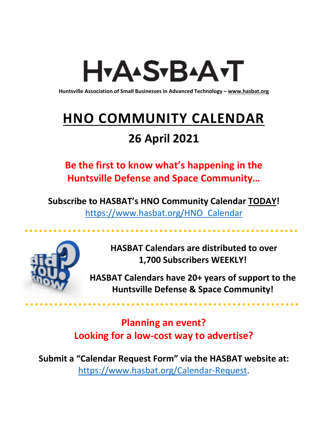# H<sub>Y</sub>AASTBAATT

**Huntsville Association of Small Businesses in Advanced Technology – [www.hasbat.org](http://www.hasbat.org/)**

# **HNO COMMUNITY CALENDAR**

### **26 April 2021**

**Be the first to know what's happening in the Huntsville Defense and Space Community…** 

**Subscribe to HASBAT's HNO Community Calendar TODAY!**  [https://www.hasbat.org/HNO\\_Calendar](https://www.hasbat.org/HNO_Calendar)



**HASBAT Calendars are distributed to over 1,700 Subscribers WEEKLY!**

**HASBAT Calendars have 20+ years of support to the Huntsville Defense & Space Community!** 

**Planning an event? Looking for a low-cost way to advertise?**

**Submit a "Calendar Request Form" via the HASBAT website at:**  [https://www.hasbat.org/Calendar-Request.](https://www.hasbat.org/Calendar-Request)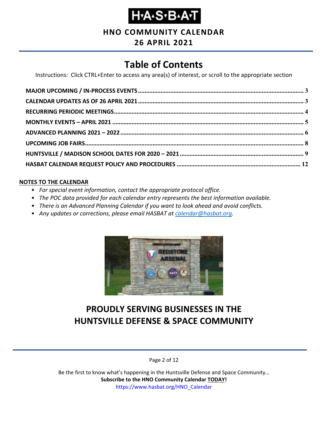**HNO COMMUNITY CALENDAR**

#### **26 APRIL 2021**

### **Table of Contents**

Instructions: Click CTRL+Enter to access any area(s) of interest, or scroll to the appropriate section

#### **NOTES TO THE CALENDAR**

- *For special event information, contact the appropriate protocol office.*
- *The POC data provided for each calendar entry represents the best information available.*
- *There is an Advanced Planning Calendar if you want to look ahead and avoid conflicts.*
- *Any updates or corrections, please email HASBAT at [calendar@hasbat.org.](mailto:calendar@hasbat.org)*



### **PROUDLY SERVING BUSINESSES IN THE HUNTSVILLE DEFENSE & SPACE COMMUNITY**

Page 2 of 12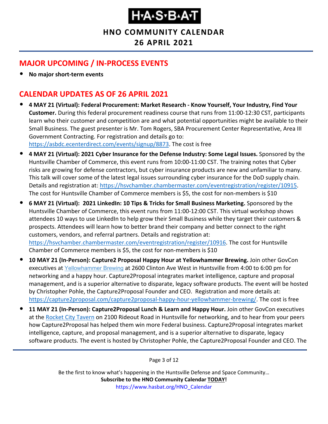**HNO COMMUNITY CALENDAR**

**26 APRIL 2021**

#### <span id="page-2-0"></span>**MAJOR UPCOMING / IN-PROCESS EVENTS**

• **No major short-term events**

### <span id="page-2-1"></span>**CALENDAR UPDATES AS OF 26 APRIL 2021**

- **4 MAY 21 (Virtual): Federal Procurement: Market Research - Know Yourself, Your Industry, Find Your Customer.** During this federal procurement readiness course that runs from 11:00-12:30 CST, participants learn who their customer and competition are and what potential opportunities might be available to their Small Business. The guest presenter is Mr. Tom Rogers, SBA Procurement Center Representative, Area III Government Contracting. For registration and details go to: [https://asbdc.ecenterdirect.com/events/signup/8873.](https://asbdc.ecenterdirect.com/events/signup/8873) The cost is free
- **4 MAY 21 (Virtual): 2021 Cyber Insurance for the Defense Industry: Some Legal Issues.** Sponsored by the Huntsville Chamber of Commerce, this event runs from 10:00-11:00 CST. The training notes that Cyber risks are growing for defense contractors, but cyber insurance products are new and unfamiliar to many. This talk will cover some of the latest legal issues surrounding cyber insurance for the DoD supply chain. Details and registration at: [https://hsvchamber.chambermaster.com/eventregistration/register/10915.](https://hsvchamber.chambermaster.com/eventregistration/register/10915) The cost for Huntsville Chamber of Commerce members is \$5, the cost for non-members is \$10
- **6 MAY 21 (Virtual): 2021 LinkedIn: 10 Tips & Tricks for Small Business Marketing.** Sponsored by the Huntsville Chamber of Commerce, this event runs from 11:00-12:00 CST. This virtual workshop shows attendees 10 ways to use LinkedIn to help grow their Small Business while they target their customers & prospects. Attendees will learn how to better brand their company and better connect to the right customers, vendors, and referral partners. Details and registration at: [https://hsvchamber.chambermaster.com/eventregistration/register/10916.](https://hsvchamber.chambermaster.com/eventregistration/register/10916) The cost for Huntsville Chamber of Commerce members is \$5, the cost for non-members is \$10
- **10 MAY 21 (In-Person): Capture2 Proposal Happy Hour at Yellowhammer Brewing.** Join other GovCon executives at [Yellowhammer](https://www.yellowhammerbrewery.com/) Brewing at 2600 Clinton Ave West in Huntsville from 4:00 to 6:00 pm for networking and a happy hour. Capture2Proposal integrates market intelligence, capture and proposal management, and is a superior alternative to disparate, legacy software products. The event will be hosted by Christopher Pohle, the Capture2Proposal Founder and CEO. Registration and more details at: [https://capture2proposal.com/capture2proposal-happy-hour-yellowhammer-brewing/.](https://capture2proposal.com/capture2proposal-happy-hour-yellowhammer-brewing/) The cost is free
- **11 MAY 21 (In-Person): Capture2Proposal Lunch & Learn and Happy Hour.** Join other GovCon executives at the [Rocket City Tavern](https://www.rocketcitytavern.com/) on 2100 Rideout Road in Huntsville for networking, and to hear from your peers how Capture2Proposal has helped them win more Federal business. Capture2Proposal integrates market intelligence, capture, and proposal management, and is a superior alternative to disparate, legacy software products. The event is hosted by Christopher Pohle, the Capture2Proposal Founder and CEO. The

Page 3 of 12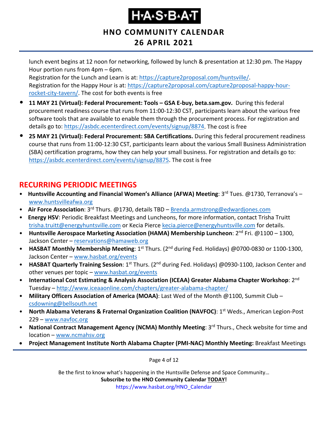**HNO COMMUNITY CALENDAR**

#### **26 APRIL 2021**

lunch event begins at 12 noon for networking, followed by lunch & presentation at 12:30 pm. The Happy Hour portion runs from 4pm – 6pm.

Registration for the Lunch and Learn is at: [https://capture2proposal.com/huntsville/.](https://capture2proposal.com/huntsville/) Registration for the Happy Hour is at: [https://capture2proposal.com/capture2proposal-happy-hour](https://capture2proposal.com/capture2proposal-happy-hour-rocket-city-tavern/)[rocket-city-tavern/.](https://capture2proposal.com/capture2proposal-happy-hour-rocket-city-tavern/) The cost for both events is free

- **11 MAY 21 (Virtual): Federal Procurement: Tools – GSA E-buy, beta.sam.gov.** During this federal procurement readiness course that runs from 11:00-12:30 CST, participants learn about the various free software tools that are available to enable them through the procurement process. For registration and details go to: [https://asbdc.ecenterdirect.com/events/signup/8874.](https://asbdc.ecenterdirect.com/events/signup/8874) The cost is free
- **25 MAY 21 (Virtual): Federal Procurement: SBA Certifications.** During this federal procurement readiness course that runs from 11:00-12:30 CST, participants learn about the various Small Business Administration (SBA) certification programs, how they can help your small business. For registration and details go to: [https://asbdc.ecenterdirect.com/events/signup/8875.](https://asbdc.ecenterdirect.com/events/signup/8875) The cost is free

#### <span id="page-3-0"></span>**RECURRING PERIODIC MEETINGS**

- Huntsville Accounting and Financial Women's Alliance (AFWA) Meeting: 3<sup>rd</sup> Tues. @1730, Terranova's [www.huntsvilleafwa.org](http://www.huntsvilleafwa.org/)
- **Air Force Association**: 3<sup>rd</sup> Thurs. @1730, details TBD [Brenda.armstrong@edwardjones.com](mailto:Brenda.armstrong@edwardjones.com)
- **Energy HSV**: Periodic Breakfast Meetings and Luncheons, for more information, contact Trisha Truitt [trisha.truitt@energyhuntsville.com](mailto:trisha.truitt@energyhuntsville.com) or Kecia Pierce [kecia.pierce@energyhuntsville.com](mailto:kecia.pierce@energyhuntsville.com) for details.
- Huntsville Aerospace Marketing Association (HAMA) Membership Luncheon: 2<sup>nd</sup> Fri. @1100 1300, Jackson Center – [reservations@hamaweb.org](mailto:reservations@hamaweb.org)
- **HASBAT Monthly Membership Meeting**: 1<sup>st</sup> Thurs. (2<sup>nd</sup> during Fed. Holidays) @0700-0830 or 1100-1300, Jackson Center – [www.hasbat.org/events](http://www.hasbat.org/events)
- **HASBAT Quarterly Training Session**: 1<sup>st</sup> Thurs. (2<sup>nd</sup> during Fed. Holidays) @0930-1100, Jackson Center and other venues per topic – [www.hasbat.org/events](http://www.hasbat.org/events)
- **International Cost Estimating & Analysis Association (ICEAA) Greater Alabama Chapter Workshop**: 2nd Tuesday – <http://www.iceaaonline.com/chapters/greater-alabama-chapter/>
- **Military Officers Association of America (MOAA)**: Last Wed of the Month @1100, Summit Club [csdowning@bellsouth.net](mailto:csdowning@bellsouth.net)
- **North Alabama Veterans & Fraternal Organization Coalition (NAVFOC)**: 1st Weds., American Legion-Post 229 – [www.navfoc.org](http://www.navfoc.org/)
- **National Contract Management Agency (NCMA) Monthly Meeting**: 3rd Thurs., Check website for time and location – [www.ncmahsv.org](http://www.ncmahsv.org/)
- **Project Management Institute North Alabama Chapter (PMI-NAC) Monthly Meeting:** Breakfast Meetings

Page 4 of 12

Be the first to know what's happening in the Huntsville Defense and Space Community… **Subscribe to the HNO Community Calendar TODAY!** 

https://www.hasbat.org/HNO\_Calendar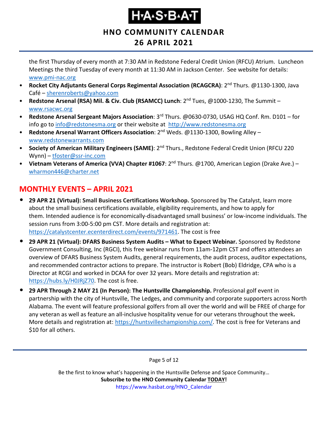#### **HNO COMMUNITY CALENDAR**

### **26 APRIL 2021**

the first Thursday of every month at 7:30 AM in Redstone Federal Credit Union (RFCU) Atrium. Luncheon Meetings the third Tuesday of every month at 11:30 AM in Jackson Center. See website for details: [www.pmi-nac.org](http://www.pmi-nac.org/)

- **Rocket City Adjutants General Corps Regimental Association (RCAGCRA)**: 2nd Thurs. @1130-1300, Java Café – [sherenroberts@yahoo.com](mailto:sherenroberts@yahoo.com)
- **Redstone Arsenal (RSA) Mil. & Civ. Club (RSAMCC) Lunch**: 2nd Tues, @1000-1230, The Summit [www.rsacwc.org](http://www.rsacwc.org/)
- **Redstone Arsenal Sergeant Majors Association**: 3rd Thurs. @0630-0730, USAG HQ Conf. Rm. D101 for info go to [info@redstonesma.org](mailto:info@redstonesma.org) or their website at [http://www.redstonesma.org](http://www.redstonesma.org/)
- **Redstone Arsenal Warrant Officers Association**: 2nd Weds. @1130-1300, Bowling Alley [www.redstonewarrants.com](http://www.redstonewarrants.com/)
- **Society of American Military Engineers (SAME)**: 2nd Thurs., Redstone Federal Credit Union (RFCU 220 Wynn) – [tfoster@ssr-inc.com](mailto:tfoster@ssr-inc.com)
- **Vietnam Veterans of America (VVA) Chapter #1067**: 2nd Thurs. @1700, American Legion (Drake Ave.) [wharmon446@charter.net](mailto:wharmon446@charter.net)

### <span id="page-4-0"></span>**MONTHLY EVENTS – APRIL 2021**

- **29 APR 21 (Virtual): Small Business Certifications Workshop.** Sponsored by The Catalyst, learn more about the small business certifications available, eligibility requirements, and how to apply for them. Intended audience is for economically-disadvantaged small business' or low-income individuals. The session runs from 3:00-5:00 pm CST. More details and registration at: [https://catalystcenter.ecenterdirect.com/events/971461.](https://catalystcenter.ecenterdirect.com/events/971461) The cost is free
- **29 APR 21 (Virtual): DFARS Business System Audits – What to Expect Webinar.** Sponsored by Redstone Government Consulting, Inc (RGCI), this free webinar runs from 11am-12pm CST and offers attendees an overview of DFARS Business System Audits, general requirements, the audit process, auditor expectations, and recommended contractor actions to prepare. The instructor is Robert (Bob) Eldridge, CPA who is a Director at RCGI and worked in DCAA for over 32 years. More details and registration at: [https://hubs.ly/H0JRjZ70.](https://hubs.ly/H0JRjZ70) The cost is free.
- **29 APR Through 2 MAY 21 (In Person): The Huntsville Championship.** Professional golf event in partnership with the city of Huntsville, The Ledges, and community and corporate supporters across North Alabama. The event will feature professional golfers from all over the world and will be FREE of charge for any veteran as well as feature an all-inclusive hospitality venue for our veterans throughout the week**.** More details and registration at: [https://huntsvillechampionship.com/.](https://huntsvillechampionship.com/) The cost is free for Veterans and \$10 for all others.

Page 5 of 12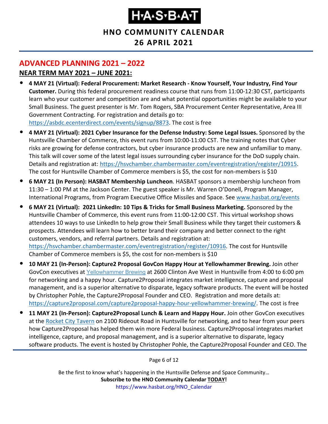**HNO COMMUNITY CALENDAR**

#### **26 APRIL 2021**

#### <span id="page-5-0"></span>**ADVANCED PLANNING 2021 – 2022**

#### **NEAR TERM MAY 2021 – JUNE 2021:**

- **4 MAY 21 (Virtual): Federal Procurement: Market Research - Know Yourself, Your Industry, Find Your Customer.** During this federal procurement readiness course that runs from 11:00-12:30 CST, participants learn who your customer and competition are and what potential opportunities might be available to your Small Business. The guest presenter is Mr. Tom Rogers, SBA Procurement Center Representative, Area III Government Contracting. For registration and details go to: [https://asbdc.ecenterdirect.com/events/signup/8873.](https://asbdc.ecenterdirect.com/events/signup/8873) The cost is free
- **4 MAY 21 (Virtual): 2021 Cyber Insurance for the Defense Industry: Some Legal Issues.** Sponsored by the Huntsville Chamber of Commerce, this event runs from 10:00-11:00 CST. The training notes that Cyber risks are growing for defense contractors, but cyber insurance products are new and unfamiliar to many. This talk will cover some of the latest legal issues surrounding cyber insurance for the DoD supply chain. Details and registration at: [https://hsvchamber.chambermaster.com/eventregistration/register/10915.](https://hsvchamber.chambermaster.com/eventregistration/register/10915) The cost for Huntsville Chamber of Commerce members is \$5, the cost for non-members is \$10
- **6 MAY 21 (In Person): HASBAT Membership Luncheon**. HASBAT sponsors a membership luncheon from 11:30 – 1:00 PM at the Jackson Center. The guest speaker is Mr. Warren O'Donell, Program Manager, International Programs, from Program Executive Office Missiles and Space. See [www.hasbat.org/events](http://www.hasbat.org/events)
- **6 MAY 21 (Virtual): 2021 LinkedIn: 10 Tips & Tricks for Small Business Marketing.** Sponsored by the Huntsville Chamber of Commerce, this event runs from 11:00-12:00 CST. This virtual workshop shows attendees 10 ways to use LinkedIn to help grow their Small Business while they target their customers & prospects. Attendees will learn how to better brand their company and better connect to the right customers, vendors, and referral partners. Details and registration at: [https://hsvchamber.chambermaster.com/eventregistration/register/10916.](https://hsvchamber.chambermaster.com/eventregistration/register/10916) The cost for Huntsville Chamber of Commerce members is \$5, the cost for non-members is \$10
- **10 MAY 21 (In-Person): Capture2 Proposal GovCon Happy Hour at Yellowhammer Brewing.** Join other GovCon executives at [Yellowhammer](https://www.yellowhammerbrewery.com/) Brewing at 2600 Clinton Ave West in Huntsville from 4:00 to 6:00 pm for networking and a happy hour. Capture2Proposal integrates market intelligence, capture and proposal management, and is a superior alternative to disparate, legacy software products. The event will be hosted by Christopher Pohle, the Capture2Proposal Founder and CEO. Registration and more details at: [https://capture2proposal.com/capture2proposal-happy-hour-yellowhammer-brewing/.](https://capture2proposal.com/capture2proposal-happy-hour-yellowhammer-brewing/) The cost is free
- **11 MAY 21 (In-Person): Capture2Proposal Lunch & Learn and Happy Hour.** Join other GovCon executives at the [Rocket City Tavern](https://www.rocketcitytavern.com/) on 2100 Rideout Road in Huntsville for networking, and to hear from your peers how Capture2Proposal has helped them win more Federal business. Capture2Proposal integrates market intelligence, capture, and proposal management, and is a superior alternative to disparate, legacy software products. The event is hosted by Christopher Pohle, the Capture2Proposal Founder and CEO. The

Page 6 of 12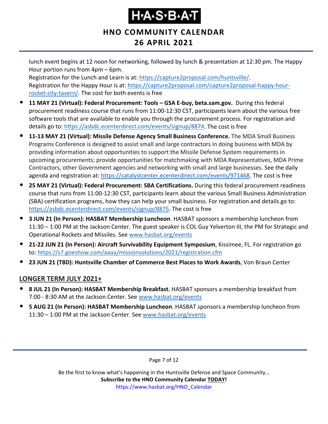**HNO COMMUNITY CALENDAR**

**26 APRIL 2021**

lunch event begins at 12 noon for networking, followed by lunch & presentation at 12:30 pm. The Happy Hour portion runs from 4pm – 6pm.

Registration for the Lunch and Learn is at: [https://capture2proposal.com/huntsville/.](https://capture2proposal.com/huntsville/) Registration for the Happy Hour is at: [https://capture2proposal.com/capture2proposal-happy-hour](https://capture2proposal.com/capture2proposal-happy-hour-rocket-city-tavern/)[rocket-city-tavern/.](https://capture2proposal.com/capture2proposal-happy-hour-rocket-city-tavern/) The cost for both events is free

- **11 MAY 21 (Virtual): Federal Procurement: Tools – GSA E-buy, beta.sam.gov.** During this federal procurement readiness course that runs from 11:00-12:30 CST, participants learn about the various free software tools that are available to enable you through the procurement process. For registration and details go to: [https://asbdc.ecenterdirect.com/events/signup/8874.](https://asbdc.ecenterdirect.com/events/signup/8874) The cost is free
- **11-13 MAY 21 (Virtual): Missile Defense Agency Small Business Conference.** The MDA Small Business Programs Conference is designed to assist small and large contractors in doing business with MDA by providing information about opportunities to support the Missile Defense System requirements in upcoming procurements; provide opportunities for matchmaking with MDA Representatives, MDA Prime Contractors, other Government agencies and networking with small and large businesses. See the daily agenda and registration at: [https://catalystcenter.ecenterdirect.com/events/971468.](https://catalystcenter.ecenterdirect.com/events/971468) The cost is free
- **25 MAY 21 (Virtual): Federal Procurement: SBA Certifications.** During this federal procurement readiness course that runs from 11:00-12:30 CST, participants learn about the various Small Business Administration (SBA) certification programs, how they can help your small business. For registration and details go to: [https://asbdc.ecenterdirect.com/events/signup/8875.](https://asbdc.ecenterdirect.com/events/signup/8875) The cost is free
- **3 JUN 21 (In Person): HASBAT Membership Luncheon**. HASBAT sponsors a membership luncheon from 11:30 – 1:00 PM at the Jackson Center. The guest speaker is COL Guy Yelverton III, the PM for Strategic and Operational Rockets and Missiles. See [www.hasbat.org/events](http://www.hasbat.org/events)
- **21-22 JUN 21 (In Person): Aircraft Survivability Equipment Symposium**, Kissimee, FL. For registration go to:<https://s7.goeshow.com/aaaa/missionsolutions/2021/registration.cfm>
- **23 JUN 21 (TBD): Huntsville Chamber of Commerce Best Places to Work Awards**, Von Braun Center

#### **LONGER TERM JULY 2021+**

- **8 JUL 21 (In Person): HASBAT Membership Breakfast.** HASBAT sponsors a membership breakfast from 7:00 - 8:30 AM at the Jackson Center. See [www.hasbat.org/events](http://www.hasbat.org/events)
- **5 AUG 21 (In Person): HASBAT Membership Luncheon**. HASBAT sponsors a membership luncheon from 11:30 – 1:00 PM at the Jackson Center. See [www.hasbat.org/events](http://www.hasbat.org/events)

Page 7 of 12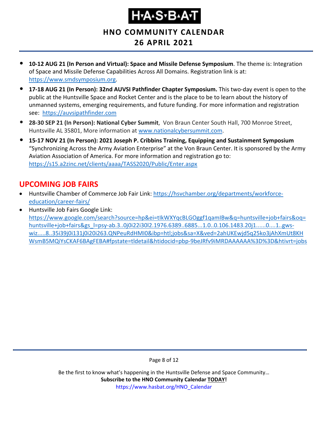# Ҥ҂ѦӠ҂Ѳ҂Ѧҭ

**HNO COMMUNITY CALENDAR**

#### **26 APRIL 2021**

- **10-12 AUG 21 (In Person and Virtual): Space and Missile Defense Symposium**. The theme is: Integration of Space and Missile Defense Capabilities Across All Domains. Registration link is at: [https://www.smdsymposium.org.](https://www.smdsymposium.org/)
- **17-18 AUG 21 (In Person): 32nd AUVSI Pathfinder Chapter Symposium.** This two-day event is open to the public at the Huntsville Space and Rocket Center and is the place to be to learn about the history of unmanned systems, emerging requirements, and future funding. For more information and registration see: [https://auvsipathfinder.com](https://auvsipathfinder.com/)
- **28-30 SEP 21 (In Person): National Cyber Summit**, Von Braun Center South Hall, 700 Monroe Street, Huntsville AL 35801, More information at [www.nationalcybersummit.com.](http://www.nationalcybersummit.com/)
- **15-17 NOV 21 (In Person): 2021 Joseph P. Cribbins Training, Equipping and Sustainment Symposium** "Synchronizing Across the Army Aviation Enterprise" at the Von Braun Center. It is sponsored by the Army Aviation Association of America. For more information and registration go to: <https://s15.a2zinc.net/clients/aaaa/TASS2020/Public/Enter.aspx>

#### <span id="page-7-0"></span>**UPCOMING JOB FAIRS**

- Huntsville Chamber of Commerce Job Fair Link: [https://hsvchamber.org/departments/workforce](https://hsvchamber.org/departments/workforce-education/career-fairs/)[education/career-fairs/](https://hsvchamber.org/departments/workforce-education/career-fairs/)
- Huntsville Job Fairs Google Link: [https://www.google.com/search?source=hp&ei=tIkWXYqcBLGOggf1qamIBw&q=huntsville+job+fairs&oq=](https://www.google.com/search?source=hp&ei=tIkWXYqcBLGOggf1qamIBw&q=huntsville+job+fairs&oq=huntsville+job+fairs&gs_l=psy-ab.3..0j0i22i30l2.1976.6389..6885...1.0..0.106.1483.20j1......0....1..gws-wiz.....8..35i39j0i131j0i20i263.QNPeuRdHMI0&ibp=htl;jobs&sa=X&ved=2ahUKEwjd5q25ko3jAhXmUt8KHWsmB5MQiYsCKAF6BAgFEBA#fpstate=tldetail&htidocid=pbp-9beJRfv9iMRDAAAAAA%3D%3D&htivrt=jobs) [huntsville+job+fairs&gs\\_l=psy-ab.3..0j0i22i30l2.1976.6389..6885...1.0..0.106.1483.20j1......0....1..gws](https://www.google.com/search?source=hp&ei=tIkWXYqcBLGOggf1qamIBw&q=huntsville+job+fairs&oq=huntsville+job+fairs&gs_l=psy-ab.3..0j0i22i30l2.1976.6389..6885...1.0..0.106.1483.20j1......0....1..gws-wiz.....8..35i39j0i131j0i20i263.QNPeuRdHMI0&ibp=htl;jobs&sa=X&ved=2ahUKEwjd5q25ko3jAhXmUt8KHWsmB5MQiYsCKAF6BAgFEBA#fpstate=tldetail&htidocid=pbp-9beJRfv9iMRDAAAAAA%3D%3D&htivrt=jobs)[wiz.....8..35i39j0i131j0i20i263.QNPeuRdHMI0&ibp=htl;jobs&sa=X&ved=2ahUKEwjd5q25ko3jAhXmUt8KH](https://www.google.com/search?source=hp&ei=tIkWXYqcBLGOggf1qamIBw&q=huntsville+job+fairs&oq=huntsville+job+fairs&gs_l=psy-ab.3..0j0i22i30l2.1976.6389..6885...1.0..0.106.1483.20j1......0....1..gws-wiz.....8..35i39j0i131j0i20i263.QNPeuRdHMI0&ibp=htl;jobs&sa=X&ved=2ahUKEwjd5q25ko3jAhXmUt8KHWsmB5MQiYsCKAF6BAgFEBA#fpstate=tldetail&htidocid=pbp-9beJRfv9iMRDAAAAAA%3D%3D&htivrt=jobs) [WsmB5MQiYsCKAF6BAgFEBA#fpstate=tldetail&htidocid=pbp-9beJRfv9iMRDAAAAAA%3D%3D&htivrt=jobs](https://www.google.com/search?source=hp&ei=tIkWXYqcBLGOggf1qamIBw&q=huntsville+job+fairs&oq=huntsville+job+fairs&gs_l=psy-ab.3..0j0i22i30l2.1976.6389..6885...1.0..0.106.1483.20j1......0....1..gws-wiz.....8..35i39j0i131j0i20i263.QNPeuRdHMI0&ibp=htl;jobs&sa=X&ved=2ahUKEwjd5q25ko3jAhXmUt8KHWsmB5MQiYsCKAF6BAgFEBA#fpstate=tldetail&htidocid=pbp-9beJRfv9iMRDAAAAAA%3D%3D&htivrt=jobs)

Page 8 of 12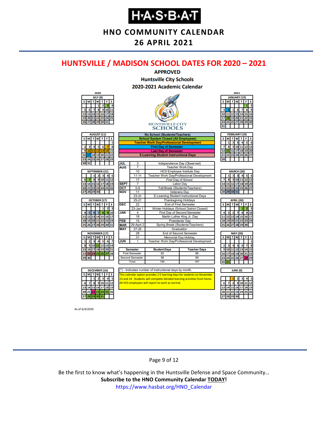**HNO COMMUNITY CALENDAR**

**26 APRIL 2021**

#### <span id="page-8-0"></span>**HUNTSVILLE / MADISON SCHOOL DATES FOR 2020 – 2021**



As of 6/4/2020

#### Page 9 of 12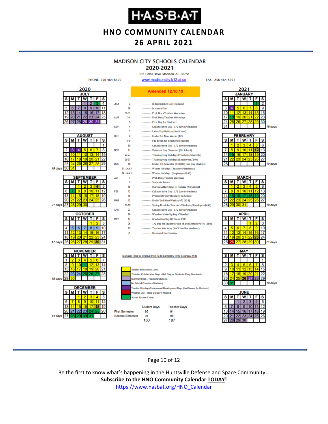**HNO COMMUNITY CALENDAR**

#### **26 APRIL 2021**

#### **MADISON CITY SCHOOLS CALENDAR**

#### 2020-2021 211 Celtic Drive Madison, AL 35758

www.madisoncity.k12.al.us

FAX: 256-464-8291



#### Page 10 of 12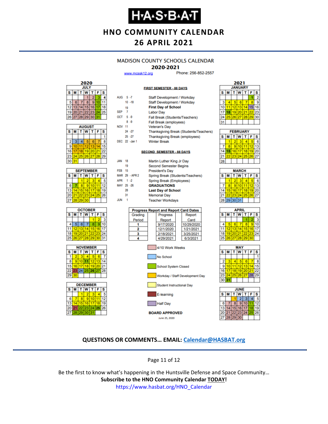### **Н-А-S-В-А-Т**

**HNO COMMUNITY CALENDAR**

#### **26 APRIL 2021**

#### **MADISON COUNTY SCHOOLS CALENDAR**

#### 2020-2021

**FIRST SEMESTER - 88 DAYS** 

www.mcssk12.org

Phone: 256-852-2557

| 2020        |    |    |                |       |    |    |  |  |
|-------------|----|----|----------------|-------|----|----|--|--|
| <b>JULY</b> |    |    |                |       |    |    |  |  |
| S<br>s<br>F |    |    |                |       |    |    |  |  |
|             |    |    |                | 2     |    |    |  |  |
| 5           | 6  |    | 8              | ٥     |    |    |  |  |
| 12          | 13 |    | 5              | 16    |    | 18 |  |  |
| 19          | 20 | 21 |                | 22 23 | 24 | 25 |  |  |
|             |    |    | 26 27 28 29 30 |       | 31 |    |  |  |

| <b>AUGUST</b> |                        |    |                   |    |    |    |  |  |
|---------------|------------------------|----|-------------------|----|----|----|--|--|
| s             | W<br>F<br>S<br>T.<br>М |    |                   |    |    |    |  |  |
|               |                        |    |                   |    |    |    |  |  |
| 2             | 3                      | 4  | 5                 | 6  |    | 8  |  |  |
| 9             | 10                     | 11 | $12 \overline{ }$ | 13 | Δ  | 15 |  |  |
| 16            | 17                     | 18 | 19 20             |    | 21 | 22 |  |  |
| 23            | 24                     |    | 25 26 27          |    | 28 | 29 |  |  |
| 30            | 31                     |    |                   |    |    |    |  |  |

| <b>SEPTEMBER</b> |                       |                 |          |  |    |    |  |  |  |
|------------------|-----------------------|-----------------|----------|--|----|----|--|--|--|
| s                | F<br>W<br>S<br>т<br>М |                 |          |  |    |    |  |  |  |
|                  |                       |                 |          |  |    |    |  |  |  |
| 6                |                       | ٠               | g        |  |    | 12 |  |  |  |
| 13               |                       | 15 <sub>1</sub> | 16       |  | 18 | 19 |  |  |  |
| 20               | 21                    |                 | 22 23 24 |  | 25 | 26 |  |  |  |
| 27               | 28                    | 29              | 30       |  |    |    |  |  |  |







| AUG 5-7          |          |                | Staff Development / Workday                  |  |  |  |  |  |  |
|------------------|----------|----------------|----------------------------------------------|--|--|--|--|--|--|
|                  |          | $10 - 18$      | Staff Development / Workday                  |  |  |  |  |  |  |
|                  | 19       |                | <b>First Day of School</b>                   |  |  |  |  |  |  |
| SEP <sub>7</sub> |          |                | <b>Labor Day</b>                             |  |  |  |  |  |  |
| OCT 5-9          |          |                | Fall Break (Students/Teachers)               |  |  |  |  |  |  |
|                  |          | $8 - 9$        | Fall Break (employees)                       |  |  |  |  |  |  |
| <b>NOV 11</b>    |          |                | <b>Veteran's Day</b>                         |  |  |  |  |  |  |
|                  |          | 24.27          | Thanksgiving Break (Students/Teachers)       |  |  |  |  |  |  |
|                  |          | $25 - 27$      | <b>Thanksgiving Break (employees)</b>        |  |  |  |  |  |  |
|                  |          | DEC 22 -Jan 1  | <b>Winter Break</b>                          |  |  |  |  |  |  |
|                  |          |                |                                              |  |  |  |  |  |  |
|                  |          |                | <b>SECOND SEMESTER - 88 DAYS</b>             |  |  |  |  |  |  |
|                  |          |                |                                              |  |  |  |  |  |  |
| <b>JAN</b>       | 18<br>19 |                | Martin Luther King Jr Day                    |  |  |  |  |  |  |
| <b>FFR 15</b>    |          |                | <b>Second Semester Begins</b>                |  |  |  |  |  |  |
|                  |          | MAR 29 - APR 2 | <b>President's Day</b>                       |  |  |  |  |  |  |
|                  |          |                | Spring Break (Students/Teachers)             |  |  |  |  |  |  |
| APR 1 -2         |          |                | Spring Break (Employees)                     |  |  |  |  |  |  |
| MAY 25 -26       |          |                | <b>GRADUATIONS</b>                           |  |  |  |  |  |  |
|                  | 28<br>31 |                | <b>Last Day of School</b>                    |  |  |  |  |  |  |
| <b>JUN</b>       | -1       |                | <b>Memorial Day</b>                          |  |  |  |  |  |  |
|                  |          |                | <b>Teacher Workdays</b>                      |  |  |  |  |  |  |
|                  |          |                | <b>Progress Report and Report Card Dates</b> |  |  |  |  |  |  |
|                  |          | Grading        | Progress<br>Report                           |  |  |  |  |  |  |
|                  |          | Period         | Report<br>Card                               |  |  |  |  |  |  |
|                  |          | 1              | 9/17/2020<br>10/29/2020                      |  |  |  |  |  |  |
|                  |          | 2              | 12/1/2020<br>1/21/2021                       |  |  |  |  |  |  |
|                  |          | 3              | 3/25/2021<br>2/18/2021                       |  |  |  |  |  |  |
|                  |          | 4              | 4/29/2021<br>6/3/2021                        |  |  |  |  |  |  |
|                  |          |                |                                              |  |  |  |  |  |  |
|                  |          |                | 4/10 Work Weeks                              |  |  |  |  |  |  |
|                  |          |                |                                              |  |  |  |  |  |  |





#### **QUESTIONS OR COMMENTS… EMAIL: [Calendar@HASBAT.org](mailto:calendar@hasbat.org)**

**BOARD APPROVED** 

June 25, 2020

Half Day

Page 11 of 12

Be the first to know what's happening in the Huntsville Defense and Space Community… **Subscribe to the HNO Community Calendar TODAY!**  https://www.hasbat.org/HNO\_Calendar

#### 2021 **JANUARY**  $s$   $M$   $T$   $W$   $T$   $F$   $s$  $\overline{2}$ l 1  $\overline{3}$  $\overline{8}$  $\overline{9}$  $4$  5 6 7  $10$ 11 12 13 14 15 16 17 18 19 20 21 22 23 24 25 26 27 28 29 30  $31$

| <b>FEBRUARY</b> |   |                 |                 |    |    |    |  |  |
|-----------------|---|-----------------|-----------------|----|----|----|--|--|
| s               | М | т               | lw              |    | F  | s  |  |  |
|                 |   | 2               | з               |    |    | ĥ  |  |  |
|                 | R | ٩               | 10              |    | 12 | 13 |  |  |
| 14              |   | 16              | 17              | 18 | 19 | 20 |  |  |
|                 |   | 23 <sub>l</sub> | 24 <sub>1</sub> | 25 | 26 | 27 |  |  |
|                 |   |                 |                 |    |    |    |  |  |

| <b>MARCH</b> |                            |    |                 |    |       |    |  |  |  |
|--------------|----------------------------|----|-----------------|----|-------|----|--|--|--|
| s            | <b>T</b> W<br>$T$ $F$<br>M |    |                 |    |       |    |  |  |  |
|              |                            | 2  | з               |    |       | 6  |  |  |  |
|              | 8                          | g  | 10              |    | 12    | 13 |  |  |  |
| 14           | 15 <sup>1</sup>            | 16 | 17 <sup>1</sup> | 18 | 19    | 20 |  |  |  |
| 21           | 22                         |    | 23 24 25        |    | 26 27 |    |  |  |  |
|              |                            |    | 28 29 30 31     |    |       |    |  |  |  |
|              |                            |    |                 |    |       |    |  |  |  |

| APRIL |    |       |             |                 |     |    |  |  |  |
|-------|----|-------|-------------|-----------------|-----|----|--|--|--|
| s     | М  |       | W           | т               | F   | s  |  |  |  |
|       |    |       |             |                 |     |    |  |  |  |
|       | 5  | 6     |             | 8               | 9   | 10 |  |  |  |
| 11    | 12 | 13    | 14          | 15              | 16  | 17 |  |  |  |
| 18    |    |       | 19 20 21 22 |                 | 123 | 24 |  |  |  |
| 25    | 26 | 27 28 |             | 29 <sup>°</sup> | 30  |    |  |  |  |
|       |    |       |             |                 |     |    |  |  |  |